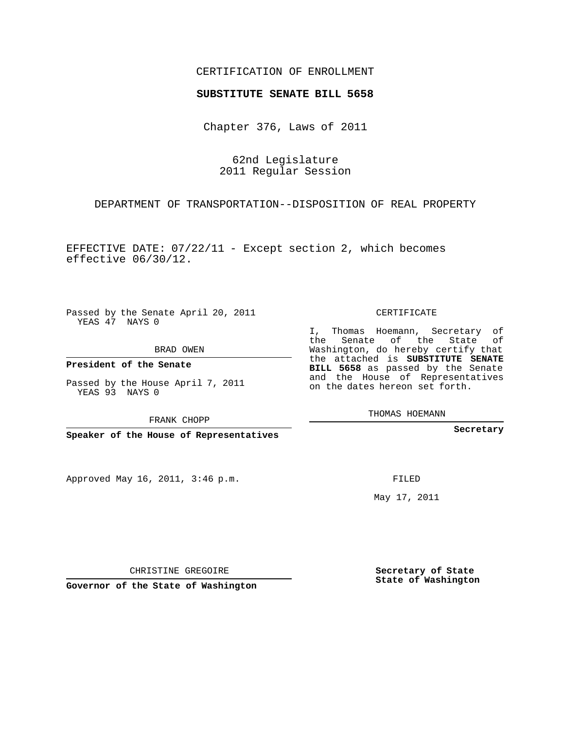## CERTIFICATION OF ENROLLMENT

## **SUBSTITUTE SENATE BILL 5658**

Chapter 376, Laws of 2011

62nd Legislature 2011 Regular Session

DEPARTMENT OF TRANSPORTATION--DISPOSITION OF REAL PROPERTY

EFFECTIVE DATE: 07/22/11 - Except section 2, which becomes effective 06/30/12.

Passed by the Senate April 20, 2011 YEAS 47 NAYS 0

BRAD OWEN

**President of the Senate**

Passed by the House April 7, 2011 YEAS 93 NAYS 0

FRANK CHOPP

**Speaker of the House of Representatives**

Approved May 16, 2011, 3:46 p.m.

CERTIFICATE

I, Thomas Hoemann, Secretary of the Senate of the State Washington, do hereby certify that the attached is **SUBSTITUTE SENATE BILL 5658** as passed by the Senate and the House of Representatives on the dates hereon set forth.

THOMAS HOEMANN

**Secretary**

FILED

May 17, 2011

CHRISTINE GREGOIRE

**Governor of the State of Washington**

**Secretary of State State of Washington**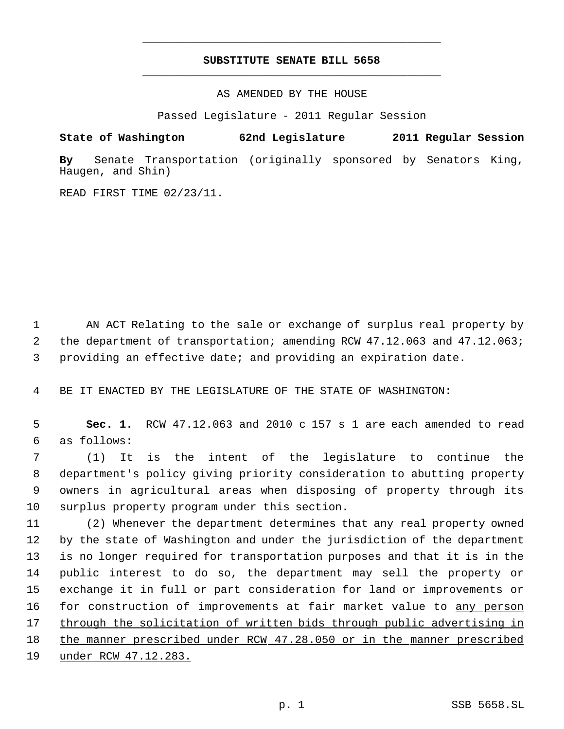## **SUBSTITUTE SENATE BILL 5658** \_\_\_\_\_\_\_\_\_\_\_\_\_\_\_\_\_\_\_\_\_\_\_\_\_\_\_\_\_\_\_\_\_\_\_\_\_\_\_\_\_\_\_\_\_

\_\_\_\_\_\_\_\_\_\_\_\_\_\_\_\_\_\_\_\_\_\_\_\_\_\_\_\_\_\_\_\_\_\_\_\_\_\_\_\_\_\_\_\_\_

AS AMENDED BY THE HOUSE

Passed Legislature - 2011 Regular Session

## **State of Washington 62nd Legislature 2011 Regular Session**

**By** Senate Transportation (originally sponsored by Senators King, Haugen, and Shin)

READ FIRST TIME 02/23/11.

 1 AN ACT Relating to the sale or exchange of surplus real property by 2 the department of transportation; amending RCW 47.12.063 and 47.12.063; 3 providing an effective date; and providing an expiration date.

4 BE IT ENACTED BY THE LEGISLATURE OF THE STATE OF WASHINGTON:

 5 **Sec. 1.** RCW 47.12.063 and 2010 c 157 s 1 are each amended to read 6 as follows:

 (1) It is the intent of the legislature to continue the department's policy giving priority consideration to abutting property owners in agricultural areas when disposing of property through its surplus property program under this section.

 (2) Whenever the department determines that any real property owned by the state of Washington and under the jurisdiction of the department is no longer required for transportation purposes and that it is in the public interest to do so, the department may sell the property or exchange it in full or part consideration for land or improvements or 16 for construction of improvements at fair market value to any person through the solicitation of written bids through public advertising in 18 the manner prescribed under RCW 47.28.050 or in the manner prescribed 19 under RCW 47.12.283.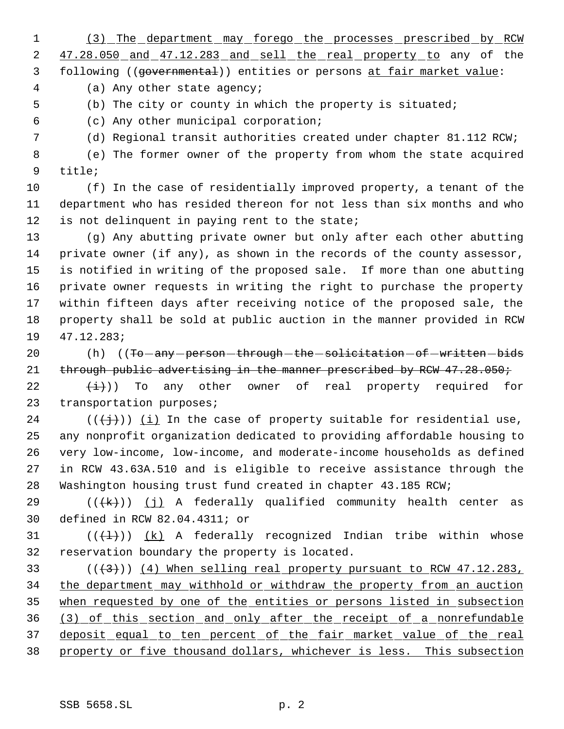(3) The department may forego the processes prescribed by RCW

2 47.28.050 and 47.12.283 and sell the real property to any of the following ((governmental)) entities or persons at fair market value:

(a) Any other state agency;

(b) The city or county in which the property is situated;

(c) Any other municipal corporation;

(d) Regional transit authorities created under chapter 81.112 RCW;

 (e) The former owner of the property from whom the state acquired title;

 (f) In the case of residentially improved property, a tenant of the department who has resided thereon for not less than six months and who 12 is not delinquent in paying rent to the state;

 (g) Any abutting private owner but only after each other abutting private owner (if any), as shown in the records of the county assessor, is notified in writing of the proposed sale. If more than one abutting private owner requests in writing the right to purchase the property within fifteen days after receiving notice of the proposed sale, the property shall be sold at public auction in the manner provided in RCW 47.12.283;

20 (h) ((To any person through the solicitation of written bids 21 through public advertising in the manner prescribed by RCW 47.28.050;

22  $(\frac{1}{2})$ ) To any other owner of real property required for transportation purposes;

24 ( $(\frac{1}{2})$ ) (i) In the case of property suitable for residential use, any nonprofit organization dedicated to providing affordable housing to very low-income, low-income, and moderate-income households as defined in RCW 43.63A.510 and is eligible to receive assistance through the Washington housing trust fund created in chapter 43.185 RCW;

29 ( $(\overline{+k})$ ) (j) A federally qualified community health center as defined in RCW 82.04.4311; or

31 ( $(\{\pm\})$ ) (k) A federally recognized Indian tribe within whose reservation boundary the property is located.

 $(1, 3)$  ( $(1, 3)$ ) (4) When selling real property pursuant to RCW 47.12.283, the department may withhold or withdraw the property from an auction 35 when requested by one of the entities or persons listed in subsection (3) of this section and only after the receipt of a nonrefundable deposit equal to ten percent of the fair market value of the real property or five thousand dollars, whichever is less. This subsection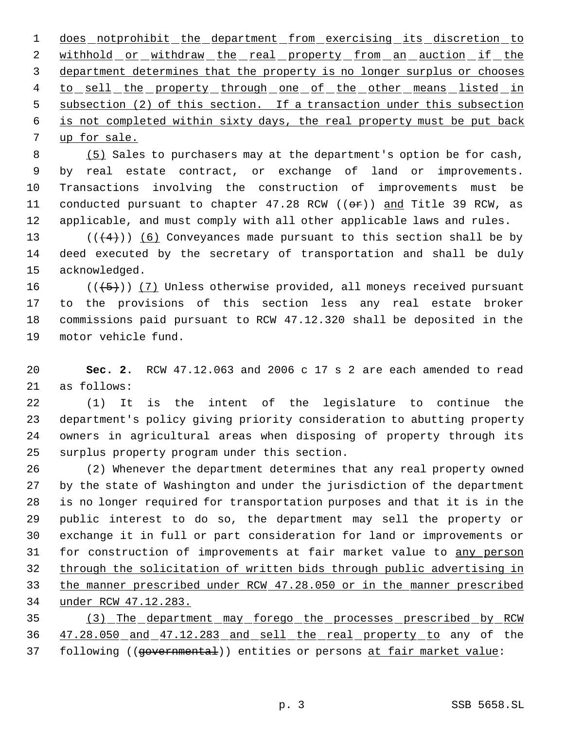1 does notprohibit the department from exercising its discretion to 2 withhold or withdraw the real property from an auction if the department determines that the property is no longer surplus or chooses 4 to sell the property through one of the other means listed in subsection (2) of this section. If a transaction under this subsection is not completed within sixty days, the real property must be put back up for sale.

8 (5) Sales to purchasers may at the department's option be for cash, by real estate contract, or exchange of land or improvements. Transactions involving the construction of improvements must be 11 conducted pursuant to chapter 47.28 RCW ((or)) and Title 39 RCW, as applicable, and must comply with all other applicable laws and rules.

13  $((+4))$  (6) Conveyances made pursuant to this section shall be by deed executed by the secretary of transportation and shall be duly acknowledged.

 $((+5))$   $(7)$  Unless otherwise provided, all moneys received pursuant to the provisions of this section less any real estate broker commissions paid pursuant to RCW 47.12.320 shall be deposited in the motor vehicle fund.

 **Sec. 2.** RCW 47.12.063 and 2006 c 17 s 2 are each amended to read as follows:

 (1) It is the intent of the legislature to continue the department's policy giving priority consideration to abutting property owners in agricultural areas when disposing of property through its surplus property program under this section.

 (2) Whenever the department determines that any real property owned by the state of Washington and under the jurisdiction of the department is no longer required for transportation purposes and that it is in the public interest to do so, the department may sell the property or exchange it in full or part consideration for land or improvements or for construction of improvements at fair market value to any person through the solicitation of written bids through public advertising in the manner prescribed under RCW 47.28.050 or in the manner prescribed under RCW 47.12.283.

 (3) The department may forego the processes prescribed by RCW 47.28.050 and 47.12.283 and sell the real property to any of the 37 following ((governmental)) entities or persons at fair market value: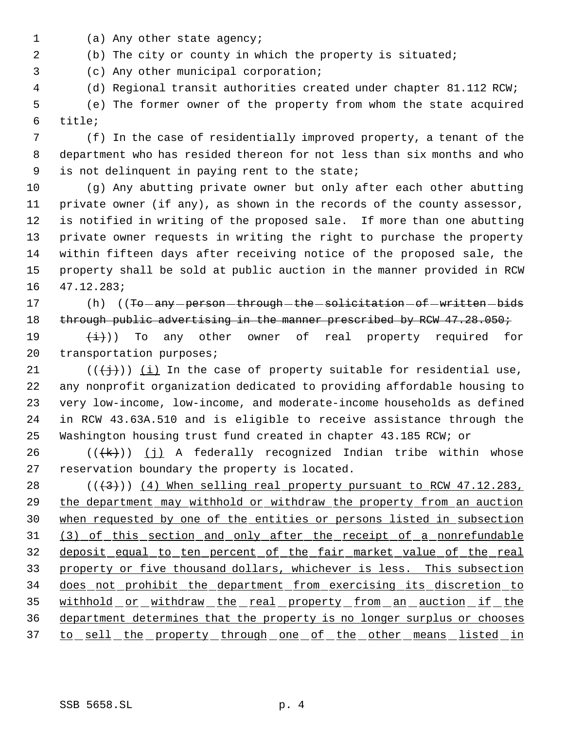- 1 (a) Any other state agency;
- (b) The city or county in which the property is situated;
- (c) Any other municipal corporation;
- (d) Regional transit authorities created under chapter 81.112 RCW;

 (e) The former owner of the property from whom the state acquired title;

 (f) In the case of residentially improved property, a tenant of the department who has resided thereon for not less than six months and who is not delinquent in paying rent to the state;

 (g) Any abutting private owner but only after each other abutting private owner (if any), as shown in the records of the county assessor, is notified in writing of the proposed sale. If more than one abutting private owner requests in writing the right to purchase the property within fifteen days after receiving notice of the proposed sale, the property shall be sold at public auction in the manner provided in RCW 47.12.283;

17 (h) ((To any person through the solicitation of written bids 18 through public advertising in the manner prescribed by RCW 47.28.050;

19  $(\pm)$ ) To any other owner of real property required for 20 transportation purposes;

21 ( $(\langle +\frac{1}{2}\rangle)$  (i) In the case of property suitable for residential use, any nonprofit organization dedicated to providing affordable housing to very low-income, low-income, and moderate-income households as defined in RCW 43.63A.510 and is eligible to receive assistance through the Washington housing trust fund created in chapter 43.185 RCW; or

26 ( $(\overline{+k})$ ) (j) A federally recognized Indian tribe within whose reservation boundary the property is located.

 $((+3))$   $(4)$  When selling real property pursuant to RCW 47.12.283, 29 the department may withhold or withdraw the property from an auction when requested by one of the entities or persons listed in subsection (3) of this section and only after the receipt of a nonrefundable deposit equal to ten percent of the fair market value of the real property or five thousand dollars, whichever is less. This subsection does not prohibit the department from exercising its discretion to 35 withhold or withdraw the real property from an auction if the department determines that the property is no longer surplus or chooses 37 to sell the property through one of the other means listed in